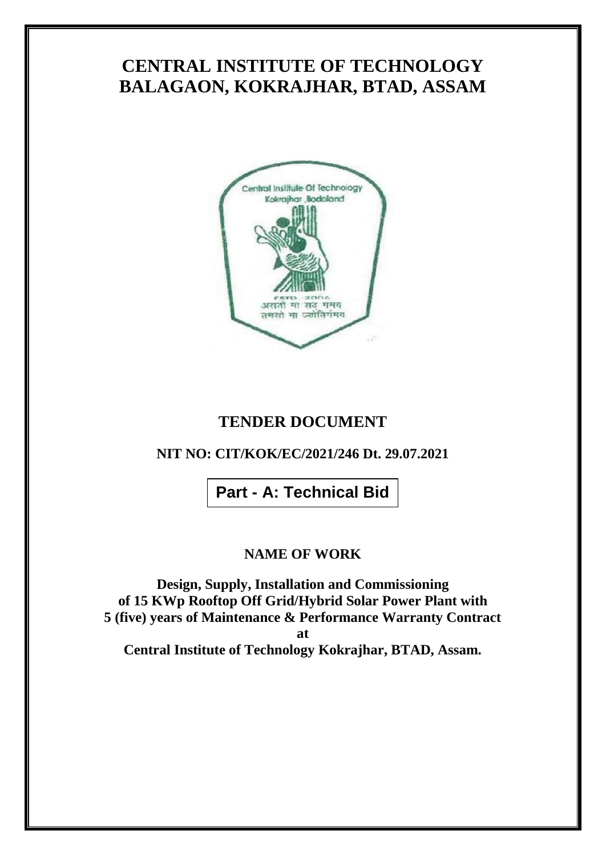# **CENTRAL INSTITUTE OF TECHNOLOGY BALAGAON, KOKRAJHAR, BTAD, ASSAM**



## **TENDER DOCUMENT**

## **NIT NO: CIT/KOK/EC/2021/246 Dt. 29.07.2021**

**Part - A: Technical Bid**

### **NAME OF WORK**

**Design, Supply, Installation and Commissioning of 15 KWp Rooftop Off Grid/Hybrid Solar Power Plant with 5 (five) years of Maintenance & Performance Warranty Contract at Central Institute of Technology Kokrajhar, BTAD, Assam.**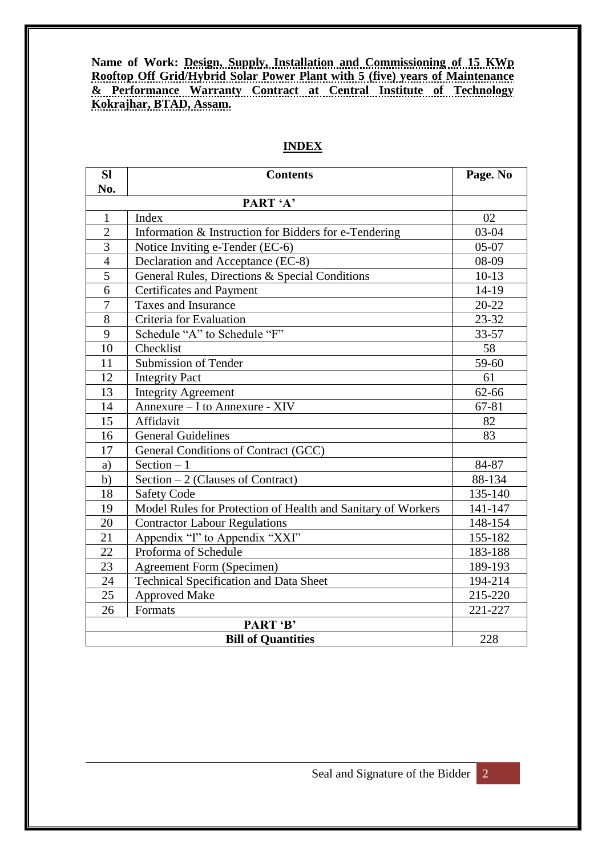**Name of Work: Design, Supply, Installation and Commissioning of 15 KWp Rooftop Off Grid/Hybrid Solar Power Plant with 5 (five) years of Maintenance & Performance Warranty Contract at Central Institute of Technology Kokrajhar, BTAD, Assam.**

| <b>SI</b>                             | <b>Contents</b>                                              | Page. No  |
|---------------------------------------|--------------------------------------------------------------|-----------|
| No.                                   |                                                              |           |
| PART 'A'                              |                                                              |           |
| $\mathbf{1}$                          | Index                                                        | 02        |
| $\overline{2}$                        | Information & Instruction for Bidders for e-Tendering        | $03 - 04$ |
| $\overline{3}$                        | Notice Inviting e-Tender (EC-6)                              | $05-07$   |
| $\overline{4}$                        | Declaration and Acceptance (EC-8)                            | 08-09     |
| $\overline{5}$                        | General Rules, Directions & Special Conditions               | $10-13$   |
| 6                                     | <b>Certificates and Payment</b>                              | 14-19     |
| $\overline{7}$                        | Taxes and Insurance                                          | $20 - 22$ |
| 8                                     | Criteria for Evaluation                                      | $23 - 32$ |
| 9                                     | Schedule "A" to Schedule "F"                                 | 33-57     |
| 10                                    | Checklist                                                    | 58        |
| 11                                    | Submission of Tender                                         | 59-60     |
| 12                                    | <b>Integrity Pact</b>                                        | 61        |
| 13                                    | <b>Integrity Agreement</b>                                   | 62-66     |
| 14                                    | Annexure - I to Annexure - XIV                               | 67-81     |
| 15                                    | Affidavit                                                    | 82        |
| 16                                    | <b>General Guidelines</b>                                    | 83        |
| 17                                    | General Conditions of Contract (GCC)                         |           |
| a)                                    | Section $-1$                                                 | 84-87     |
| b)                                    | Section - 2 (Clauses of Contract)                            | 88-134    |
| 18                                    | <b>Safety Code</b>                                           | 135-140   |
| 19                                    | Model Rules for Protection of Health and Sanitary of Workers | 141-147   |
| 20                                    | <b>Contractor Labour Regulations</b>                         | 148-154   |
| 21                                    | Appendix "I" to Appendix "XXI"                               | 155-182   |
| 22                                    | Proforma of Schedule                                         | 183-188   |
| 23                                    | <b>Agreement Form (Specimen)</b>                             | 189-193   |
| 24                                    | <b>Technical Specification and Data Sheet</b>                | 194-214   |
| 25                                    | <b>Approved Make</b>                                         | 215-220   |
| 26                                    | Formats                                                      | 221-227   |
| PART 'B'<br><b>Bill of Quantities</b> |                                                              |           |
|                                       | 228                                                          |           |

#### **INDEX**

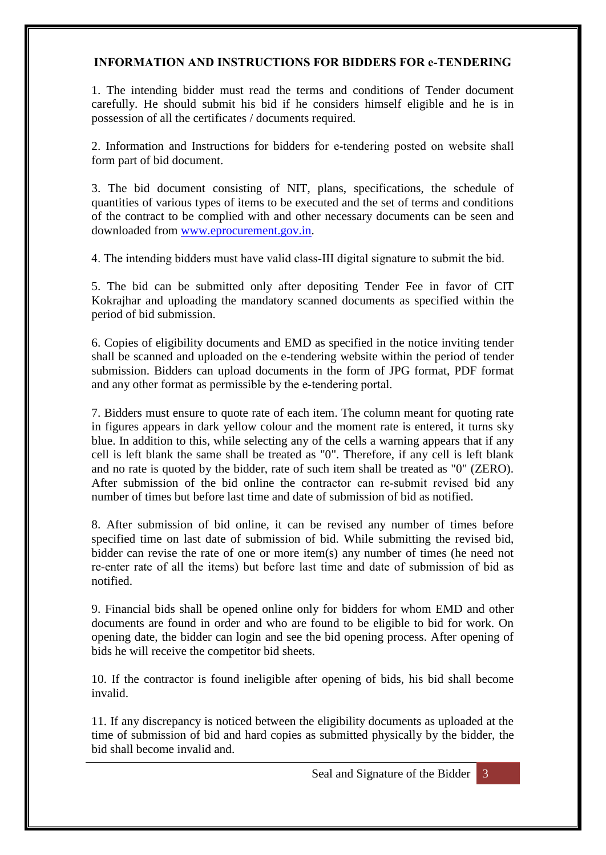#### **INFORMATION AND INSTRUCTIONS FOR BIDDERS FOR e‐TENDERING**

1. The intending bidder must read the terms and conditions of Tender document carefully. He should submit his bid if he considers himself eligible and he is in possession of all the certificates / documents required.

2. Information and Instructions for bidders for e‐tendering posted on website shall form part of bid document.

3. The bid document consisting of NIT, plans, specifications, the schedule of quantities of various types of items to be executed and the set of terms and conditions of the contract to be complied with and other necessary documents can be seen and downloaded from [www.eprocurement.gov.in.](http://www.eprocurement.gov.in/)

4. The intending bidders must have valid class‐III digital signature to submit the bid.

5. The bid can be submitted only after depositing Tender Fee in favor of CIT Kokrajhar and uploading the mandatory scanned documents as specified within the period of bid submission.

6. Copies of eligibility documents and EMD as specified in the notice inviting tender shall be scanned and uploaded on the e-tendering website within the period of tender submission. Bidders can upload documents in the form of JPG format, PDF format and any other format as permissible by the e-tendering portal.

7. Bidders must ensure to quote rate of each item. The column meant for quoting rate in figures appears in dark yellow colour and the moment rate is entered, it turns sky blue. In addition to this, while selecting any of the cells a warning appears that if any cell is left blank the same shall be treated as "0". Therefore, if any cell is left blank and no rate is quoted by the bidder, rate of such item shall be treated as "0" (ZERO). After submission of the bid online the contractor can re-submit revised bid any number of times but before last time and date of submission of bid as notified.

8. After submission of bid online, it can be revised any number of times before specified time on last date of submission of bid. While submitting the revised bid, bidder can revise the rate of one or more item(s) any number of times (he need not re‐enter rate of all the items) but before last time and date of submission of bid as notified.

9. Financial bids shall be opened online only for bidders for whom EMD and other documents are found in order and who are found to be eligible to bid for work. On opening date, the bidder can login and see the bid opening process. After opening of bids he will receive the competitor bid sheets.

10. If the contractor is found ineligible after opening of bids, his bid shall become invalid.

11. If any discrepancy is noticed between the eligibility documents as uploaded at the time of submission of bid and hard copies as submitted physically by the bidder, the bid shall become invalid and.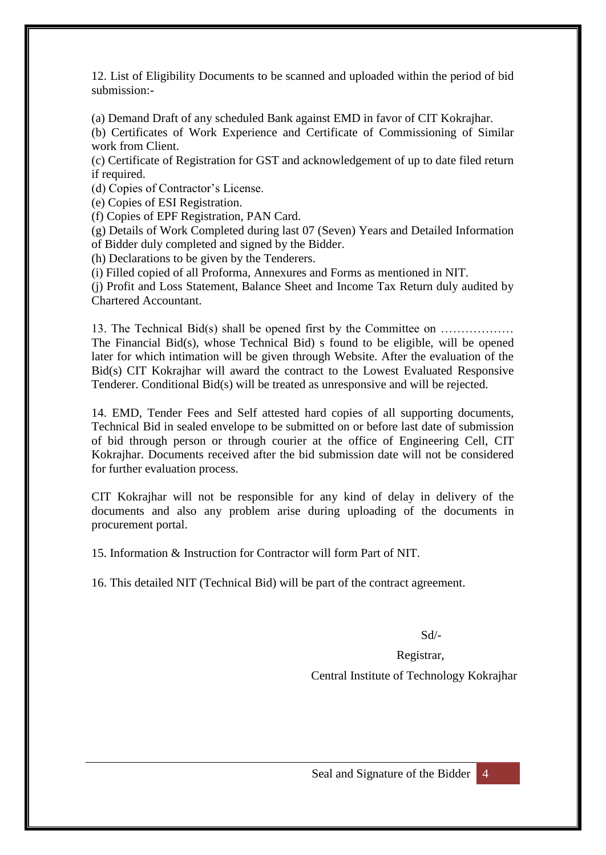12. List of Eligibility Documents to be scanned and uploaded within the period of bid submission:-

(a) Demand Draft of any scheduled Bank against EMD in favor of CIT Kokrajhar.

(b) Certificates of Work Experience and Certificate of Commissioning of Similar work from Client.

(c) Certificate of Registration for GST and acknowledgement of up to date filed return if required.

(d) Copies of Contractor's License.

(e) Copies of ESI Registration.

(f) Copies of EPF Registration, PAN Card.

(g) Details of Work Completed during last 07 (Seven) Years and Detailed Information of Bidder duly completed and signed by the Bidder.

(h) Declarations to be given by the Tenderers.

(i) Filled copied of all Proforma, Annexures and Forms as mentioned in NIT.

(j) Profit and Loss Statement, Balance Sheet and Income Tax Return duly audited by Chartered Accountant.

13. The Technical Bid(s) shall be opened first by the Committee on ……………… The Financial Bid(s), whose Technical Bid) s found to be eligible, will be opened later for which intimation will be given through Website. After the evaluation of the Bid(s) CIT Kokrajhar will award the contract to the Lowest Evaluated Responsive Tenderer. Conditional Bid(s) will be treated as unresponsive and will be rejected.

14. EMD, Tender Fees and Self attested hard copies of all supporting documents, Technical Bid in sealed envelope to be submitted on or before last date of submission of bid through person or through courier at the office of Engineering Cell, CIT Kokrajhar. Documents received after the bid submission date will not be considered for further evaluation process.

CIT Kokrajhar will not be responsible for any kind of delay in delivery of the documents and also any problem arise during uploading of the documents in procurement portal.

15. Information & Instruction for Contractor will form Part of NIT.

16. This detailed NIT (Technical Bid) will be part of the contract agreement.

Sd/-

Registrar,

Central Institute of Technology Kokrajhar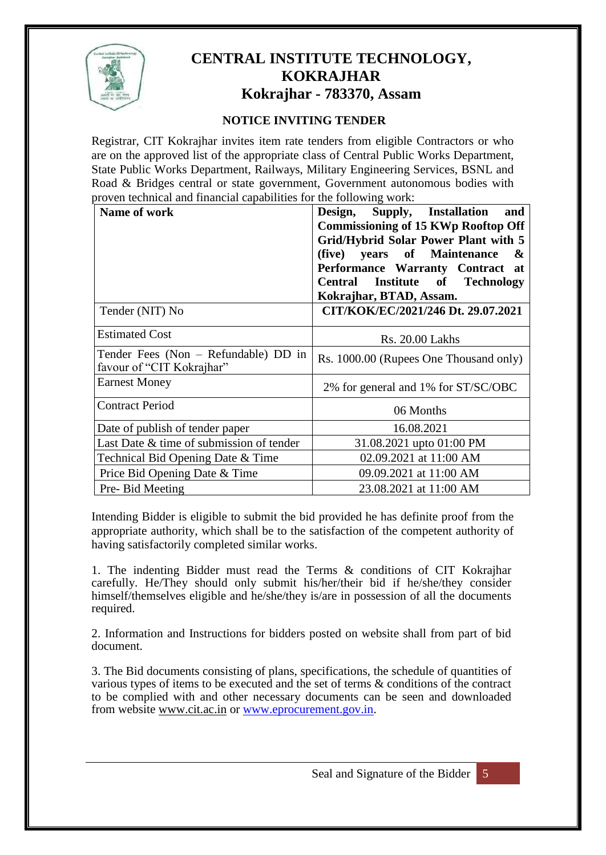

### **CENTRAL INSTITUTE TECHNOLOGY, KOKRAJHAR Kokrajhar - 783370, Assam**

#### **NOTICE INVITING TENDER**

Registrar, CIT Kokrajhar invites item rate tenders from eligible Contractors or who are on the approved list of the appropriate class of Central Public Works Department, State Public Works Department, Railways, Military Engineering Services, BSNL and Road & Bridges central or state government, Government autonomous bodies with proven technical and financial capabilities for the following work:

| Name of work                                                      | Design,<br>Supply, Installation<br>and<br><b>Commissioning of 15 KWp Rooftop Off</b><br><b>Grid/Hybrid Solar Power Plant with 5</b><br>years of Maintenance<br>(five)<br>&<br>Performance Warranty Contract at<br>Central Institute of Technology<br>Kokrajhar, BTAD, Assam. |  |
|-------------------------------------------------------------------|------------------------------------------------------------------------------------------------------------------------------------------------------------------------------------------------------------------------------------------------------------------------------|--|
| Tender (NIT) No                                                   | CIT/KOK/EC/2021/246 Dt. 29.07.2021                                                                                                                                                                                                                                           |  |
| <b>Estimated Cost</b>                                             | <b>Rs. 20.00 Lakhs</b>                                                                                                                                                                                                                                                       |  |
| Tender Fees (Non – Refundable) DD in<br>favour of "CIT Kokrajhar" | Rs. 1000.00 (Rupees One Thousand only)                                                                                                                                                                                                                                       |  |
| <b>Earnest Money</b>                                              | 2% for general and 1% for ST/SC/OBC                                                                                                                                                                                                                                          |  |
| <b>Contract Period</b>                                            | 06 Months                                                                                                                                                                                                                                                                    |  |
| Date of publish of tender paper                                   | 16.08.2021                                                                                                                                                                                                                                                                   |  |
| Last Date & time of submission of tender                          | 31.08.2021 upto 01:00 PM                                                                                                                                                                                                                                                     |  |
| Technical Bid Opening Date & Time                                 | 02.09.2021 at 11:00 AM                                                                                                                                                                                                                                                       |  |
| Price Bid Opening Date & Time                                     | 09.09.2021 at 11:00 AM                                                                                                                                                                                                                                                       |  |
| Pre- Bid Meeting                                                  | 23.08.2021 at 11:00 AM                                                                                                                                                                                                                                                       |  |

Intending Bidder is eligible to submit the bid provided he has definite proof from the appropriate authority, which shall be to the satisfaction of the competent authority of having satisfactorily completed similar works.

1. The indenting Bidder must read the Terms & conditions of CIT Kokrajhar carefully. He/They should only submit his/her/their bid if he/she/they consider himself/themselves eligible and he/she/they is/are in possession of all the documents required.

2. Information and Instructions for bidders posted on website shall from part of bid document.

3. The Bid documents consisting of plans, specifications, the schedule of quantities of various types of items to be executed and the set of terms & conditions of the contract to be complied with and other necessary documents can be seen and downloaded from website www.cit.ac.in or [www.eprocurement.gov.in.](http://www.eprocurement.gov.in/)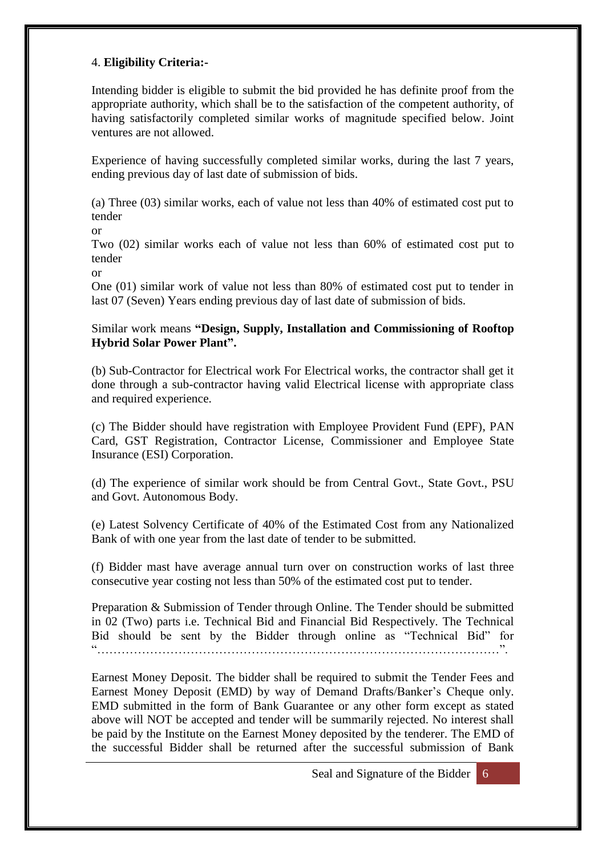#### 4. **Eligibility Criteria:-**

Intending bidder is eligible to submit the bid provided he has definite proof from the appropriate authority, which shall be to the satisfaction of the competent authority, of having satisfactorily completed similar works of magnitude specified below. Joint ventures are not allowed.

Experience of having successfully completed similar works, during the last 7 years, ending previous day of last date of submission of bids.

(a) Three (03) similar works, each of value not less than 40% of estimated cost put to tender

or

Two (02) similar works each of value not less than 60% of estimated cost put to tender

or

One (01) similar work of value not less than 80% of estimated cost put to tender in last 07 (Seven) Years ending previous day of last date of submission of bids.

Similar work means **"Design, Supply, Installation and Commissioning of Rooftop Hybrid Solar Power Plant".**

(b) Sub-Contractor for Electrical work For Electrical works, the contractor shall get it done through a sub-contractor having valid Electrical license with appropriate class and required experience.

(c) The Bidder should have registration with Employee Provident Fund (EPF), PAN Card, GST Registration, Contractor License, Commissioner and Employee State Insurance (ESI) Corporation.

(d) The experience of similar work should be from Central Govt., State Govt., PSU and Govt. Autonomous Body.

(e) Latest Solvency Certificate of 40% of the Estimated Cost from any Nationalized Bank of with one year from the last date of tender to be submitted.

(f) Bidder mast have average annual turn over on construction works of last three consecutive year costing not less than 50% of the estimated cost put to tender.

Preparation & Submission of Tender through Online. The Tender should be submitted in 02 (Two) parts i.e. Technical Bid and Financial Bid Respectively. The Technical Bid should be sent by the Bidder through online as "Technical Bid" for "………………………………………………………………………………………".

Earnest Money Deposit. The bidder shall be required to submit the Tender Fees and Earnest Money Deposit (EMD) by way of Demand Drafts/Banker's Cheque only. EMD submitted in the form of Bank Guarantee or any other form except as stated above will NOT be accepted and tender will be summarily rejected. No interest shall be paid by the Institute on the Earnest Money deposited by the tenderer. The EMD of the successful Bidder shall be returned after the successful submission of Bank

Seal and Signature of the Bidder 6

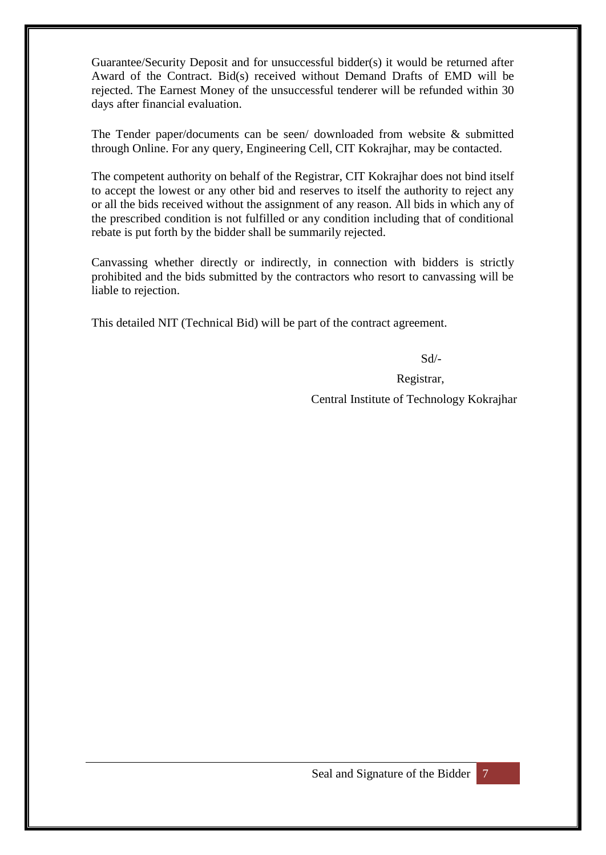Guarantee/Security Deposit and for unsuccessful bidder(s) it would be returned after Award of the Contract. Bid(s) received without Demand Drafts of EMD will be rejected. The Earnest Money of the unsuccessful tenderer will be refunded within 30 days after financial evaluation.

The Tender paper/documents can be seen/ downloaded from website & submitted through Online. For any query, Engineering Cell, CIT Kokrajhar, may be contacted.

The competent authority on behalf of the Registrar, CIT Kokrajhar does not bind itself to accept the lowest or any other bid and reserves to itself the authority to reject any or all the bids received without the assignment of any reason. All bids in which any of the prescribed condition is not fulfilled or any condition including that of conditional rebate is put forth by the bidder shall be summarily rejected.

Canvassing whether directly or indirectly, in connection with bidders is strictly prohibited and the bids submitted by the contractors who resort to canvassing will be liable to rejection.

This detailed NIT (Technical Bid) will be part of the contract agreement.

Sd/-

Registrar,

Central Institute of Technology Kokrajhar

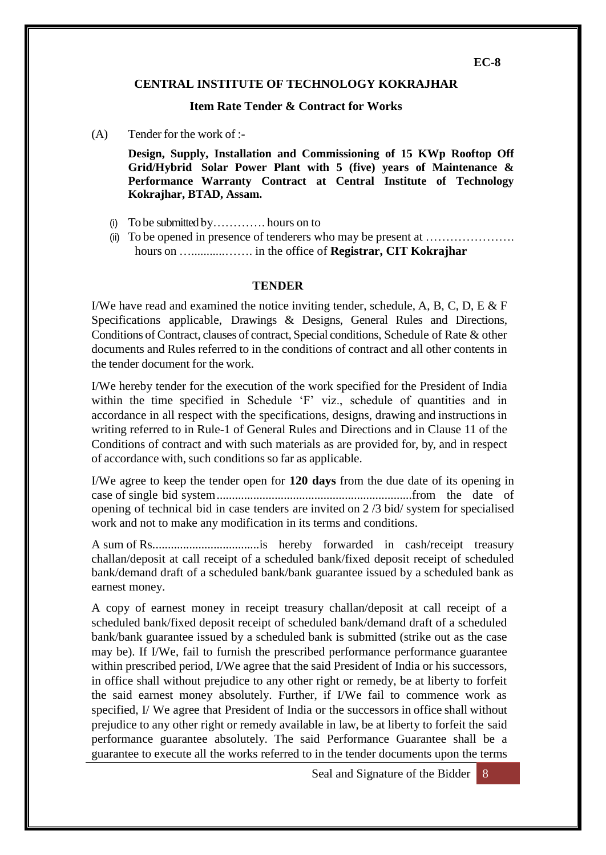#### **CENTRAL INSTITUTE OF TECHNOLOGY KOKRAJHAR**

#### **Item Rate Tender & Contract for Works**

(A) Tender for the work of :-

**Design, Supply, Installation and Commissioning of 15 KWp Rooftop Off Grid/Hybrid Solar Power Plant with 5 (five) years of Maintenance & Performance Warranty Contract at Central Institute of Technology Kokrajhar, BTAD, Assam.**

- (i) To be submitted by…………. hours on to
- (ii) To be opened in presence of tenderers who may be present at …………………. hours on …...........……. in the office of **Registrar, CIT Kokrajhar**

#### **TENDER**

I/We have read and examined the notice inviting tender, schedule, A, B, C, D, E & F Specifications applicable, Drawings & Designs, General Rules and Directions, Conditions of Contract, clauses of contract, Special conditions, Schedule of Rate & other documents and Rules referred to in the conditions of contract and all other contents in the tender document for the work.

I/We hereby tender for the execution of the work specified for the President of India within the time specified in Schedule 'F' viz., schedule of quantities and in accordance in all respect with the specifications, designs, drawing and instructionsin writing referred to in Rule-1 of General Rules and Directions and in Clause 11 of the Conditions of contract and with such materials as are provided for, by, and in respect of accordance with, such conditions so far as applicable.

I/We agree to keep the tender open for **120 days** from the due date of its opening in case of single bid system................................................................from the date of opening of technical bid in case tenders are invited on 2 /3 bid/ system for specialised work and not to make any modification in its terms and conditions.

A sum of Rs...................................is hereby forwarded in cash/receipt treasury challan/deposit at call receipt of a scheduled bank/fixed deposit receipt of scheduled bank/demand draft of a scheduled bank/bank guarantee issued by a scheduled bank as earnest money.

A copy of earnest money in receipt treasury challan/deposit at call receipt of a scheduled bank/fixed deposit receipt of scheduled bank/demand draft of a scheduled bank/bank guarantee issued by a scheduled bank is submitted (strike out as the case may be). If I/We, fail to furnish the prescribed performance performance guarantee within prescribed period, I/We agree that the said President of India or his successors, in office shall without prejudice to any other right or remedy, be at liberty to forfeit the said earnest money absolutely. Further, if I/We fail to commence work as specified, I/ We agree that President of India or the successors in office shall without prejudice to any other right or remedy available in law, be at liberty to forfeit the said performance guarantee absolutely. The said Performance Guarantee shall be a guarantee to execute all the works referred to in the tender documents upon the terms

Seal and Signature of the Bidder 8

**EC-8**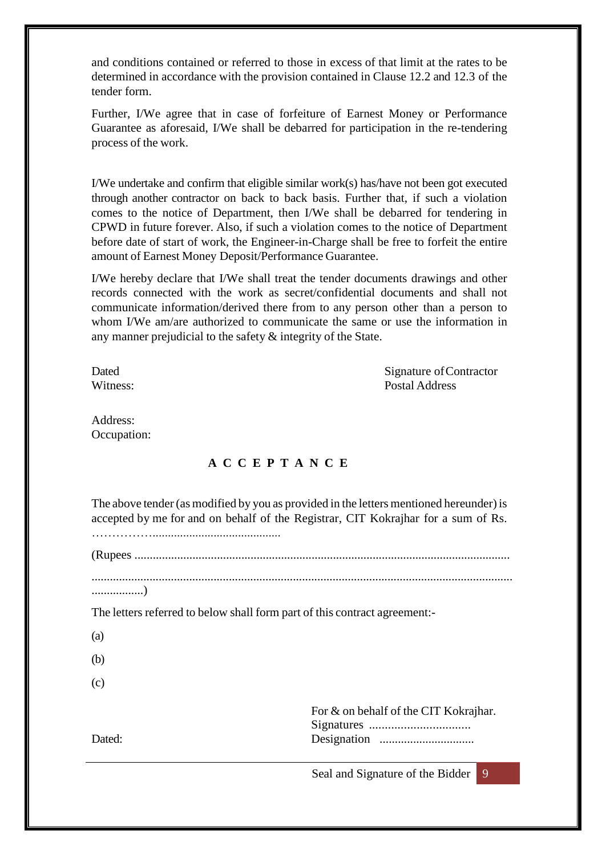and conditions contained or referred to those in excess of that limit at the rates to be determined in accordance with the provision contained in Clause 12.2 and 12.3 of the tender form.

Further, I/We agree that in case of forfeiture of Earnest Money or Performance Guarantee as aforesaid, I/We shall be debarred for participation in the re-tendering process of the work.

I/We undertake and confirm that eligible similar work(s) has/have not been got executed through another contractor on back to back basis. Further that, if such a violation comes to the notice of Department, then I/We shall be debarred for tendering in CPWD in future forever. Also, if such a violation comes to the notice of Department before date of start of work, the Engineer-in-Charge shall be free to forfeit the entire amount of Earnest Money Deposit/Performance Guarantee.

I/We hereby declare that I/We shall treat the tender documents drawings and other records connected with the work as secret/confidential documents and shall not communicate information/derived there from to any person other than a person to whom I/We am/are authorized to communicate the same or use the information in any manner prejudicial to the safety & integrity of the State.

Dated Signature of Contractor Witness: Postal Address

Address: Occupation:

#### **A C C E P T A N C E**

The above tender (as modified by you as provided in the letters mentioned hereunder) is accepted by me for and on behalf of the Registrar, CIT Kokrajhar for a sum of Rs.

……………..........................................

(Rupees ...........................................................................................................................

..........................................................................................................................................

.................)

The letters referred to below shall form part of this contract agreement:-

(a)

(b)

(c)

For & on behalf of the CIT Kokrajhar. Signatures ................................ Dated: Designation ...............................

Seal and Signature of the Bidder 9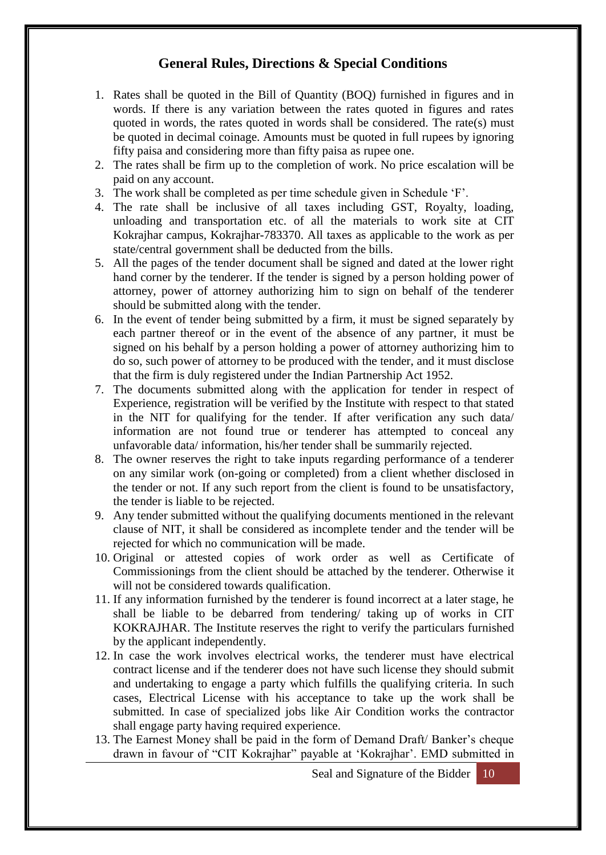### **General Rules, Directions & Special Conditions**

- 1. Rates shall be quoted in the Bill of Quantity (BOQ) furnished in figures and in words. If there is any variation between the rates quoted in figures and rates quoted in words, the rates quoted in words shall be considered. The rate(s) must be quoted in decimal coinage. Amounts must be quoted in full rupees by ignoring fifty paisa and considering more than fifty paisa as rupee one.
- 2. The rates shall be firm up to the completion of work. No price escalation will be paid on any account.
- 3. The work shall be completed as per time schedule given in Schedule 'F'.
- 4. The rate shall be inclusive of all taxes including GST, Royalty, loading, unloading and transportation etc. of all the materials to work site at CIT Kokrajhar campus, Kokrajhar-783370. All taxes as applicable to the work as per state/central government shall be deducted from the bills.
- 5. All the pages of the tender document shall be signed and dated at the lower right hand corner by the tenderer. If the tender is signed by a person holding power of attorney, power of attorney authorizing him to sign on behalf of the tenderer should be submitted along with the tender.
- 6. In the event of tender being submitted by a firm, it must be signed separately by each partner thereof or in the event of the absence of any partner, it must be signed on his behalf by a person holding a power of attorney authorizing him to do so, such power of attorney to be produced with the tender, and it must disclose that the firm is duly registered under the Indian Partnership Act 1952.
- 7. The documents submitted along with the application for tender in respect of Experience, registration will be verified by the Institute with respect to that stated in the NIT for qualifying for the tender. If after verification any such data/ information are not found true or tenderer has attempted to conceal any unfavorable data/ information, his/her tender shall be summarily rejected.
- 8. The owner reserves the right to take inputs regarding performance of a tenderer on any similar work (on-going or completed) from a client whether disclosed in the tender or not. If any such report from the client is found to be unsatisfactory, the tender is liable to be rejected.
- 9. Any tender submitted without the qualifying documents mentioned in the relevant clause of NIT, it shall be considered as incomplete tender and the tender will be rejected for which no communication will be made.
- 10. Original or attested copies of work order as well as Certificate of Commissionings from the client should be attached by the tenderer. Otherwise it will not be considered towards qualification.
- 11. If any information furnished by the tenderer is found incorrect at a later stage, he shall be liable to be debarred from tendering/ taking up of works in CIT KOKRAJHAR. The Institute reserves the right to verify the particulars furnished by the applicant independently.
- 12. In case the work involves electrical works, the tenderer must have electrical contract license and if the tenderer does not have such license they should submit and undertaking to engage a party which fulfills the qualifying criteria. In such cases, Electrical License with his acceptance to take up the work shall be submitted. In case of specialized jobs like Air Condition works the contractor shall engage party having required experience.
- 13. The Earnest Money shall be paid in the form of Demand Draft/ Banker's cheque drawn in favour of "CIT Kokrajhar" payable at 'Kokrajhar'. EMD submitted in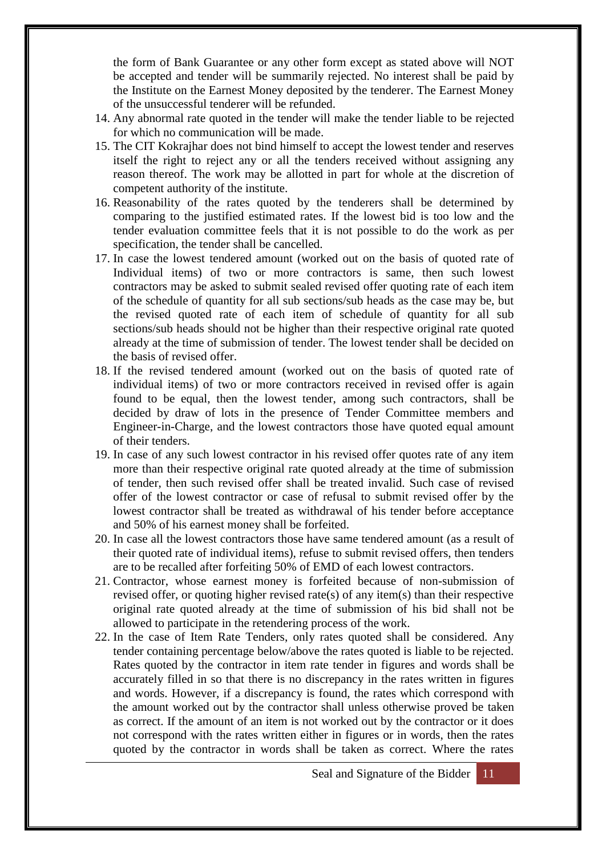the form of Bank Guarantee or any other form except as stated above will NOT be accepted and tender will be summarily rejected. No interest shall be paid by the Institute on the Earnest Money deposited by the tenderer. The Earnest Money of the unsuccessful tenderer will be refunded.

- 14. Any abnormal rate quoted in the tender will make the tender liable to be rejected for which no communication will be made.
- 15. The CIT Kokrajhar does not bind himself to accept the lowest tender and reserves itself the right to reject any or all the tenders received without assigning any reason thereof. The work may be allotted in part for whole at the discretion of competent authority of the institute.
- 16. Reasonability of the rates quoted by the tenderers shall be determined by comparing to the justified estimated rates. If the lowest bid is too low and the tender evaluation committee feels that it is not possible to do the work as per specification, the tender shall be cancelled.
- 17. In case the lowest tendered amount (worked out on the basis of quoted rate of Individual items) of two or more contractors is same, then such lowest contractors may be asked to submit sealed revised offer quoting rate of each item of the schedule of quantity for all sub sections/sub heads as the case may be, but the revised quoted rate of each item of schedule of quantity for all sub sections/sub heads should not be higher than their respective original rate quoted already at the time of submission of tender. The lowest tender shall be decided on the basis of revised offer.
- 18. If the revised tendered amount (worked out on the basis of quoted rate of individual items) of two or more contractors received in revised offer is again found to be equal, then the lowest tender, among such contractors, shall be decided by draw of lots in the presence of Tender Committee members and Engineer-in-Charge, and the lowest contractors those have quoted equal amount of their tenders.
- 19. In case of any such lowest contractor in his revised offer quotes rate of any item more than their respective original rate quoted already at the time of submission of tender, then such revised offer shall be treated invalid. Such case of revised offer of the lowest contractor or case of refusal to submit revised offer by the lowest contractor shall be treated as withdrawal of his tender before acceptance and 50% of his earnest money shall be forfeited.
- 20. In case all the lowest contractors those have same tendered amount (as a result of their quoted rate of individual items), refuse to submit revised offers, then tenders are to be recalled after forfeiting 50% of EMD of each lowest contractors.
- 21. Contractor, whose earnest money is forfeited because of non-submission of revised offer, or quoting higher revised rate(s) of any item(s) than their respective original rate quoted already at the time of submission of his bid shall not be allowed to participate in the retendering process of the work.
- 22. In the case of Item Rate Tenders, only rates quoted shall be considered. Any tender containing percentage below/above the rates quoted is liable to be rejected. Rates quoted by the contractor in item rate tender in figures and words shall be accurately filled in so that there is no discrepancy in the rates written in figures and words. However, if a discrepancy is found, the rates which correspond with the amount worked out by the contractor shall unless otherwise proved be taken as correct. If the amount of an item is not worked out by the contractor or it does not correspond with the rates written either in figures or in words, then the rates quoted by the contractor in words shall be taken as correct. Where the rates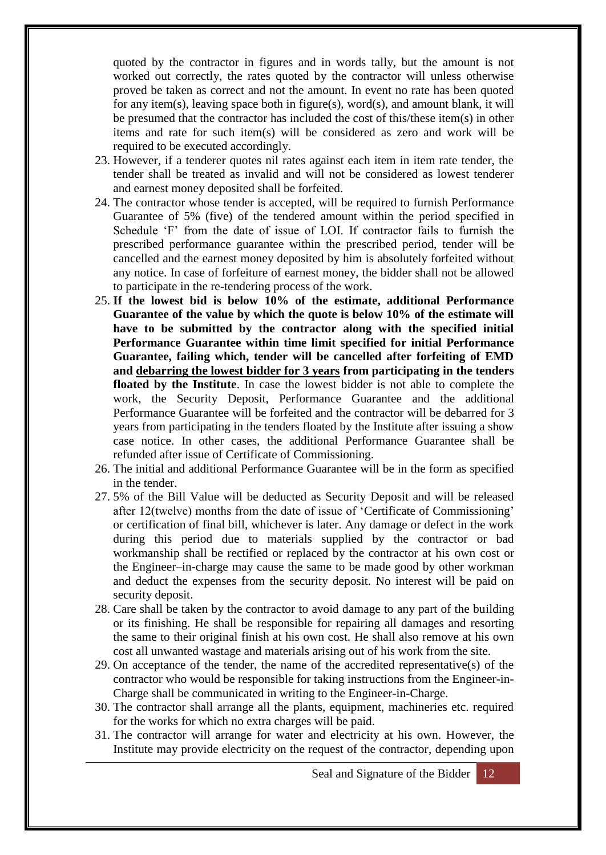quoted by the contractor in figures and in words tally, but the amount is not worked out correctly, the rates quoted by the contractor will unless otherwise proved be taken as correct and not the amount. In event no rate has been quoted for any item(s), leaving space both in figure(s), word(s), and amount blank, it will be presumed that the contractor has included the cost of this/these item(s) in other items and rate for such item(s) will be considered as zero and work will be required to be executed accordingly.

- 23. However, if a tenderer quotes nil rates against each item in item rate tender, the tender shall be treated as invalid and will not be considered as lowest tenderer and earnest money deposited shall be forfeited.
- 24. The contractor whose tender is accepted, will be required to furnish Performance Guarantee of 5% (five) of the tendered amount within the period specified in Schedule 'F' from the date of issue of LOI. If contractor fails to furnish the prescribed performance guarantee within the prescribed period, tender will be cancelled and the earnest money deposited by him is absolutely forfeited without any notice. In case of forfeiture of earnest money, the bidder shall not be allowed to participate in the re-tendering process of the work.
- 25. **If the lowest bid is below 10% of the estimate, additional Performance Guarantee of the value by which the quote is below 10% of the estimate will have to be submitted by the contractor along with the specified initial Performance Guarantee within time limit specified for initial Performance Guarantee, failing which, tender will be cancelled after forfeiting of EMD and debarring the lowest bidder for 3 years from participating in the tenders floated by the Institute**. In case the lowest bidder is not able to complete the work, the Security Deposit, Performance Guarantee and the additional Performance Guarantee will be forfeited and the contractor will be debarred for 3 years from participating in the tenders floated by the Institute after issuing a show case notice. In other cases, the additional Performance Guarantee shall be refunded after issue of Certificate of Commissioning.
- 26. The initial and additional Performance Guarantee will be in the form as specified in the tender.
- 27. 5% of the Bill Value will be deducted as Security Deposit and will be released after 12(twelve) months from the date of issue of 'Certificate of Commissioning' or certification of final bill, whichever is later. Any damage or defect in the work during this period due to materials supplied by the contractor or bad workmanship shall be rectified or replaced by the contractor at his own cost or the Engineer–in-charge may cause the same to be made good by other workman and deduct the expenses from the security deposit. No interest will be paid on security deposit.
- 28. Care shall be taken by the contractor to avoid damage to any part of the building or its finishing. He shall be responsible for repairing all damages and resorting the same to their original finish at his own cost. He shall also remove at his own cost all unwanted wastage and materials arising out of his work from the site.
- 29. On acceptance of the tender, the name of the accredited representative(s) of the contractor who would be responsible for taking instructions from the Engineer-in-Charge shall be communicated in writing to the Engineer-in-Charge.
- 30. The contractor shall arrange all the plants, equipment, machineries etc. required for the works for which no extra charges will be paid.
- 31. The contractor will arrange for water and electricity at his own. However, the Institute may provide electricity on the request of the contractor, depending upon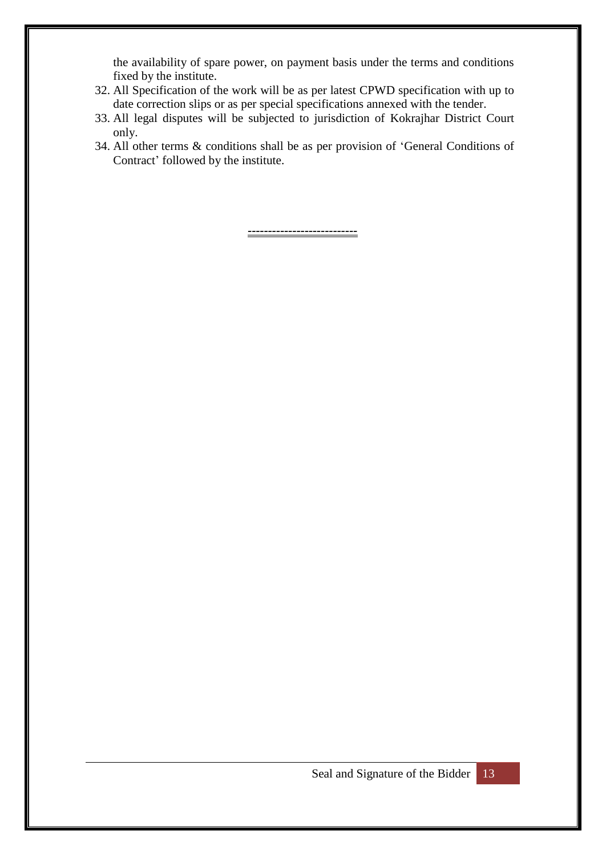the availability of spare power, on payment basis under the terms and conditions fixed by the institute.

- 32. All Specification of the work will be as per latest CPWD specification with up to date correction slips or as per special specifications annexed with the tender.
- 33. All legal disputes will be subjected to jurisdiction of Kokrajhar District Court only.
- 34. All other terms & conditions shall be as per provision of 'General Conditions of Contract' followed by the institute.

*---------------------------*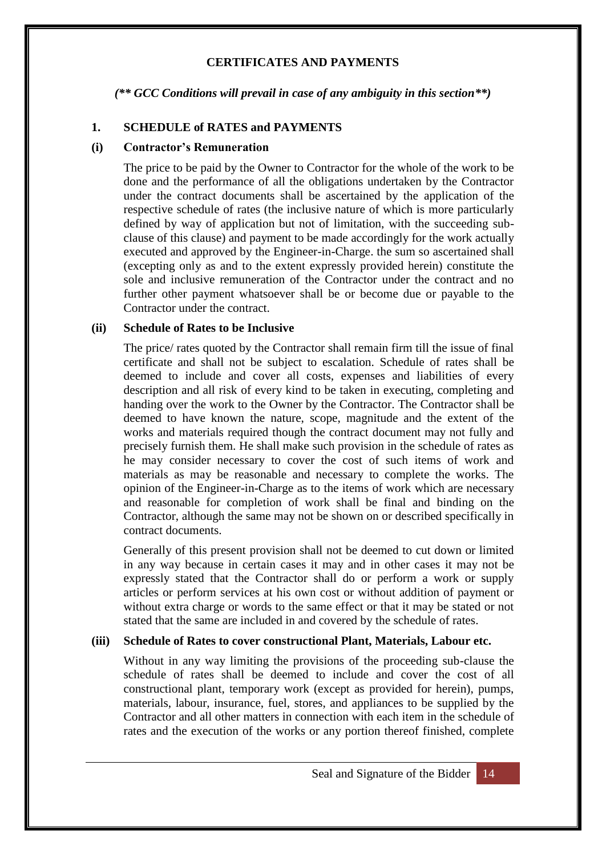#### **CERTIFICATES AND PAYMENTS**

*(\*\* GCC Conditions will prevail in case of any ambiguity in this section\*\*)*

#### **1. SCHEDULE of RATES and PAYMENTS**

#### **(i) Contractor's Remuneration**

The price to be paid by the Owner to Contractor for the whole of the work to be done and the performance of all the obligations undertaken by the Contractor under the contract documents shall be ascertained by the application of the respective schedule of rates (the inclusive nature of which is more particularly defined by way of application but not of limitation, with the succeeding subclause of this clause) and payment to be made accordingly for the work actually executed and approved by the Engineer-in-Charge. the sum so ascertained shall (excepting only as and to the extent expressly provided herein) constitute the sole and inclusive remuneration of the Contractor under the contract and no further other payment whatsoever shall be or become due or payable to the Contractor under the contract.

#### **(ii) Schedule of Rates to be Inclusive**

The price/ rates quoted by the Contractor shall remain firm till the issue of final certificate and shall not be subject to escalation. Schedule of rates shall be deemed to include and cover all costs, expenses and liabilities of every description and all risk of every kind to be taken in executing, completing and handing over the work to the Owner by the Contractor. The Contractor shall be deemed to have known the nature, scope, magnitude and the extent of the works and materials required though the contract document may not fully and precisely furnish them. He shall make such provision in the schedule of rates as he may consider necessary to cover the cost of such items of work and materials as may be reasonable and necessary to complete the works. The opinion of the Engineer-in-Charge as to the items of work which are necessary and reasonable for completion of work shall be final and binding on the Contractor, although the same may not be shown on or described specifically in contract documents.

Generally of this present provision shall not be deemed to cut down or limited in any way because in certain cases it may and in other cases it may not be expressly stated that the Contractor shall do or perform a work or supply articles or perform services at his own cost or without addition of payment or without extra charge or words to the same effect or that it may be stated or not stated that the same are included in and covered by the schedule of rates.

#### **(iii) Schedule of Rates to cover constructional Plant, Materials, Labour etc.**

Without in any way limiting the provisions of the proceeding sub-clause the schedule of rates shall be deemed to include and cover the cost of all constructional plant, temporary work (except as provided for herein), pumps, materials, labour, insurance, fuel, stores, and appliances to be supplied by the Contractor and all other matters in connection with each item in the schedule of rates and the execution of the works or any portion thereof finished, complete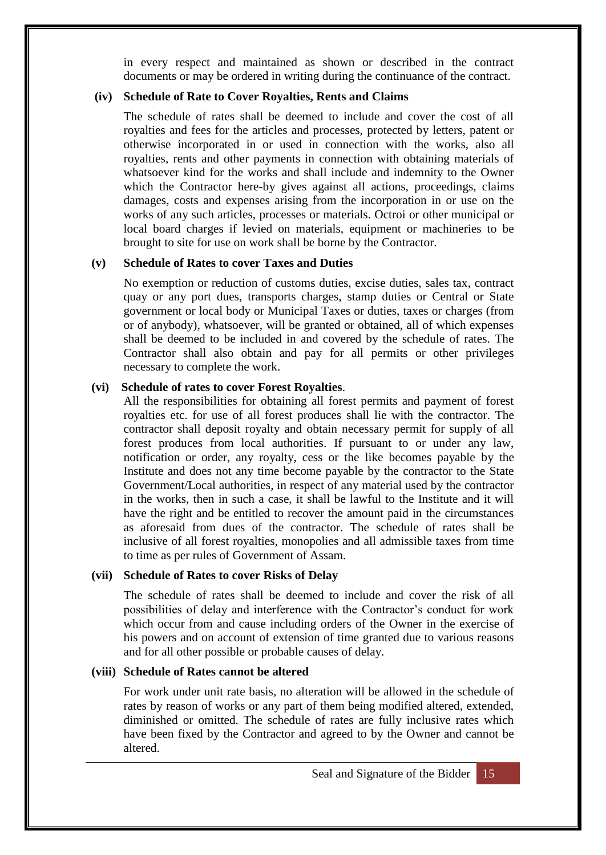in every respect and maintained as shown or described in the contract documents or may be ordered in writing during the continuance of the contract.

#### **(iv) Schedule of Rate to Cover Royalties, Rents and Claims**

The schedule of rates shall be deemed to include and cover the cost of all royalties and fees for the articles and processes, protected by letters, patent or otherwise incorporated in or used in connection with the works, also all royalties, rents and other payments in connection with obtaining materials of whatsoever kind for the works and shall include and indemnity to the Owner which the Contractor here-by gives against all actions, proceedings, claims damages, costs and expenses arising from the incorporation in or use on the works of any such articles, processes or materials. Octroi or other municipal or local board charges if levied on materials, equipment or machineries to be brought to site for use on work shall be borne by the Contractor.

#### **(v) Schedule of Rates to cover Taxes and Duties**

No exemption or reduction of customs duties, excise duties, sales tax, contract quay or any port dues, transports charges, stamp duties or Central or State government or local body or Municipal Taxes or duties, taxes or charges (from or of anybody), whatsoever, will be granted or obtained, all of which expenses shall be deemed to be included in and covered by the schedule of rates. The Contractor shall also obtain and pay for all permits or other privileges necessary to complete the work.

#### **(vi) Schedule of rates to cover Forest Royalties**.

All the responsibilities for obtaining all forest permits and payment of forest royalties etc. for use of all forest produces shall lie with the contractor. The contractor shall deposit royalty and obtain necessary permit for supply of all forest produces from local authorities. If pursuant to or under any law, notification or order, any royalty, cess or the like becomes payable by the Institute and does not any time become payable by the contractor to the State Government/Local authorities, in respect of any material used by the contractor in the works, then in such a case, it shall be lawful to the Institute and it will have the right and be entitled to recover the amount paid in the circumstances as aforesaid from dues of the contractor. The schedule of rates shall be inclusive of all forest royalties, monopolies and all admissible taxes from time to time as per rules of Government of Assam.

#### **(vii) Schedule of Rates to cover Risks of Delay**

The schedule of rates shall be deemed to include and cover the risk of all possibilities of delay and interference with the Contractor's conduct for work which occur from and cause including orders of the Owner in the exercise of his powers and on account of extension of time granted due to various reasons and for all other possible or probable causes of delay.

#### **(viii) Schedule of Rates cannot be altered**

For work under unit rate basis, no alteration will be allowed in the schedule of rates by reason of works or any part of them being modified altered, extended, diminished or omitted. The schedule of rates are fully inclusive rates which have been fixed by the Contractor and agreed to by the Owner and cannot be altered.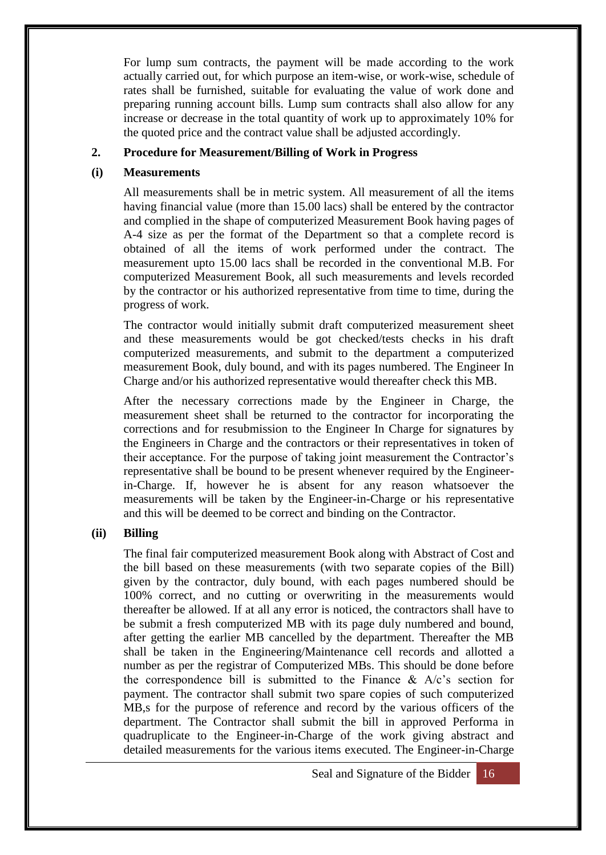For lump sum contracts, the payment will be made according to the work actually carried out, for which purpose an item-wise, or work-wise, schedule of rates shall be furnished, suitable for evaluating the value of work done and preparing running account bills. Lump sum contracts shall also allow for any increase or decrease in the total quantity of work up to approximately 10% for the quoted price and the contract value shall be adjusted accordingly.

#### **2. Procedure for Measurement/Billing of Work in Progress**

#### **(i) Measurements**

All measurements shall be in metric system. All measurement of all the items having financial value (more than 15.00 lacs) shall be entered by the contractor and complied in the shape of computerized Measurement Book having pages of A-4 size as per the format of the Department so that a complete record is obtained of all the items of work performed under the contract. The measurement upto 15.00 lacs shall be recorded in the conventional M.B. For computerized Measurement Book, all such measurements and levels recorded by the contractor or his authorized representative from time to time, during the progress of work.

The contractor would initially submit draft computerized measurement sheet and these measurements would be got checked/tests checks in his draft computerized measurements, and submit to the department a computerized measurement Book, duly bound, and with its pages numbered. The Engineer In Charge and/or his authorized representative would thereafter check this MB.

After the necessary corrections made by the Engineer in Charge, the measurement sheet shall be returned to the contractor for incorporating the corrections and for resubmission to the Engineer In Charge for signatures by the Engineers in Charge and the contractors or their representatives in token of their acceptance. For the purpose of taking joint measurement the Contractor's representative shall be bound to be present whenever required by the Engineerin-Charge. If, however he is absent for any reason whatsoever the measurements will be taken by the Engineer-in-Charge or his representative and this will be deemed to be correct and binding on the Contractor.

#### **(ii) Billing**

The final fair computerized measurement Book along with Abstract of Cost and the bill based on these measurements (with two separate copies of the Bill) given by the contractor, duly bound, with each pages numbered should be 100% correct, and no cutting or overwriting in the measurements would thereafter be allowed. If at all any error is noticed, the contractors shall have to be submit a fresh computerized MB with its page duly numbered and bound, after getting the earlier MB cancelled by the department. Thereafter the MB shall be taken in the Engineering/Maintenance cell records and allotted a number as per the registrar of Computerized MBs. This should be done before the correspondence bill is submitted to the Finance  $\&$  A/c's section for payment. The contractor shall submit two spare copies of such computerized MB,s for the purpose of reference and record by the various officers of the department. The Contractor shall submit the bill in approved Performa in quadruplicate to the Engineer-in-Charge of the work giving abstract and detailed measurements for the various items executed. The Engineer-in-Charge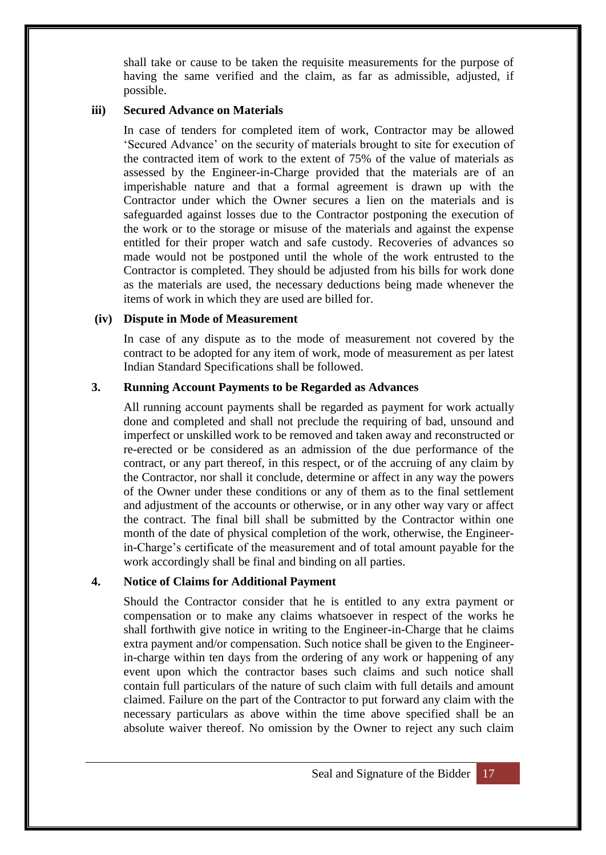shall take or cause to be taken the requisite measurements for the purpose of having the same verified and the claim, as far as admissible, adjusted, if possible.

#### **iii) Secured Advance on Materials**

In case of tenders for completed item of work, Contractor may be allowed 'Secured Advance' on the security of materials brought to site for execution of the contracted item of work to the extent of 75% of the value of materials as assessed by the Engineer-in-Charge provided that the materials are of an imperishable nature and that a formal agreement is drawn up with the Contractor under which the Owner secures a lien on the materials and is safeguarded against losses due to the Contractor postponing the execution of the work or to the storage or misuse of the materials and against the expense entitled for their proper watch and safe custody. Recoveries of advances so made would not be postponed until the whole of the work entrusted to the Contractor is completed. They should be adjusted from his bills for work done as the materials are used, the necessary deductions being made whenever the items of work in which they are used are billed for.

#### **(iv) Dispute in Mode of Measurement**

In case of any dispute as to the mode of measurement not covered by the contract to be adopted for any item of work, mode of measurement as per latest Indian Standard Specifications shall be followed.

#### **3. Running Account Payments to be Regarded as Advances**

All running account payments shall be regarded as payment for work actually done and completed and shall not preclude the requiring of bad, unsound and imperfect or unskilled work to be removed and taken away and reconstructed or re-erected or be considered as an admission of the due performance of the contract, or any part thereof, in this respect, or of the accruing of any claim by the Contractor, nor shall it conclude, determine or affect in any way the powers of the Owner under these conditions or any of them as to the final settlement and adjustment of the accounts or otherwise, or in any other way vary or affect the contract. The final bill shall be submitted by the Contractor within one month of the date of physical completion of the work, otherwise, the Engineerin-Charge's certificate of the measurement and of total amount payable for the work accordingly shall be final and binding on all parties.

#### **4. Notice of Claims for Additional Payment**

Should the Contractor consider that he is entitled to any extra payment or compensation or to make any claims whatsoever in respect of the works he shall forthwith give notice in writing to the Engineer-in-Charge that he claims extra payment and/or compensation. Such notice shall be given to the Engineerin-charge within ten days from the ordering of any work or happening of any event upon which the contractor bases such claims and such notice shall contain full particulars of the nature of such claim with full details and amount claimed. Failure on the part of the Contractor to put forward any claim with the necessary particulars as above within the time above specified shall be an absolute waiver thereof. No omission by the Owner to reject any such claim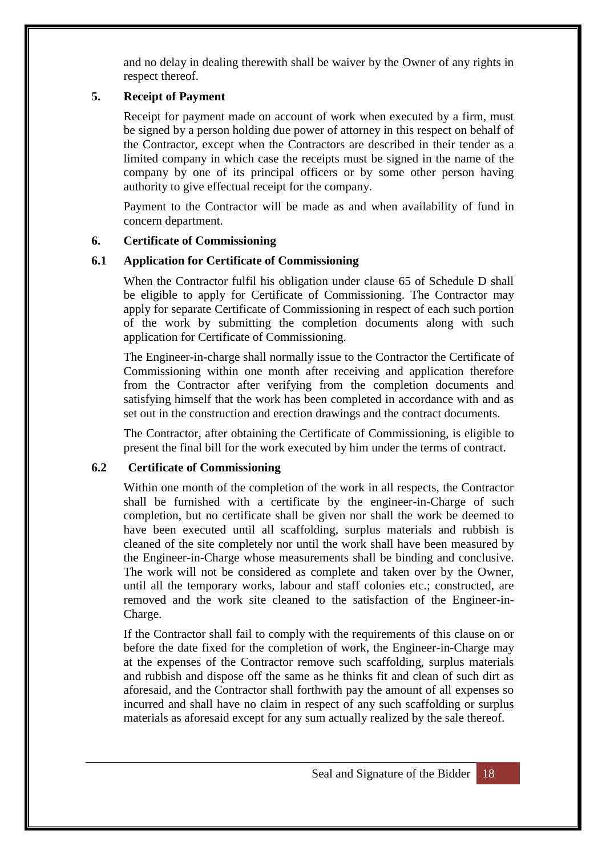and no delay in dealing therewith shall be waiver by the Owner of any rights in respect thereof.

#### **5. Receipt of Payment**

Receipt for payment made on account of work when executed by a firm, must be signed by a person holding due power of attorney in this respect on behalf of the Contractor, except when the Contractors are described in their tender as a limited company in which case the receipts must be signed in the name of the company by one of its principal officers or by some other person having authority to give effectual receipt for the company.

Payment to the Contractor will be made as and when availability of fund in concern department.

#### **6. Certificate of Commissioning**

#### **6.1 Application for Certificate of Commissioning**

When the Contractor fulfil his obligation under clause 65 of Schedule D shall be eligible to apply for Certificate of Commissioning. The Contractor may apply for separate Certificate of Commissioning in respect of each such portion of the work by submitting the completion documents along with such application for Certificate of Commissioning.

The Engineer-in-charge shall normally issue to the Contractor the Certificate of Commissioning within one month after receiving and application therefore from the Contractor after verifying from the completion documents and satisfying himself that the work has been completed in accordance with and as set out in the construction and erection drawings and the contract documents.

The Contractor, after obtaining the Certificate of Commissioning, is eligible to present the final bill for the work executed by him under the terms of contract.

#### **6.2 Certificate of Commissioning**

Within one month of the completion of the work in all respects, the Contractor shall be furnished with a certificate by the engineer-in-Charge of such completion, but no certificate shall be given nor shall the work be deemed to have been executed until all scaffolding, surplus materials and rubbish is cleaned of the site completely nor until the work shall have been measured by the Engineer-in-Charge whose measurements shall be binding and conclusive. The work will not be considered as complete and taken over by the Owner, until all the temporary works, labour and staff colonies etc.; constructed, are removed and the work site cleaned to the satisfaction of the Engineer-in-Charge.

If the Contractor shall fail to comply with the requirements of this clause on or before the date fixed for the completion of work, the Engineer-in-Charge may at the expenses of the Contractor remove such scaffolding, surplus materials and rubbish and dispose off the same as he thinks fit and clean of such dirt as aforesaid, and the Contractor shall forthwith pay the amount of all expenses so incurred and shall have no claim in respect of any such scaffolding or surplus materials as aforesaid except for any sum actually realized by the sale thereof.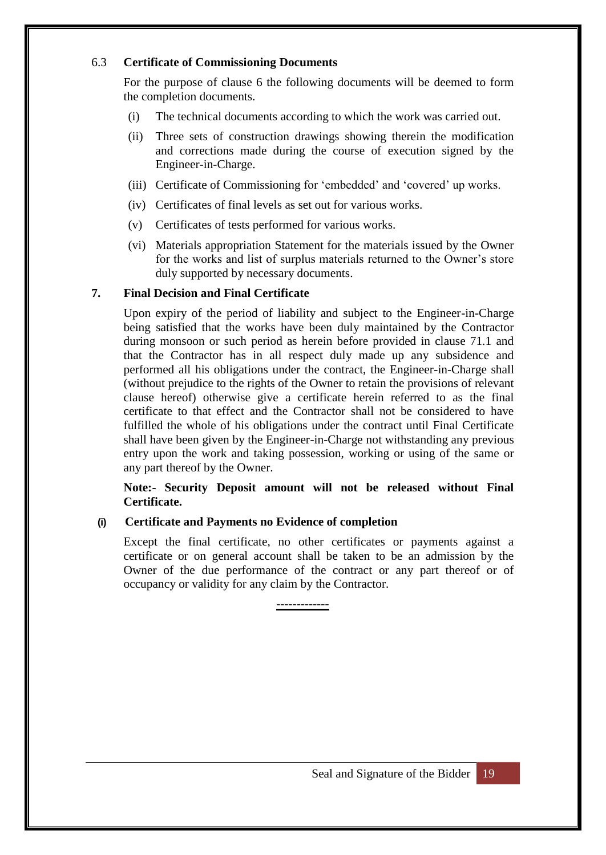#### 6.3 **Certificate of Commissioning Documents**

For the purpose of clause 6 the following documents will be deemed to form the completion documents.

- (i) The technical documents according to which the work was carried out.
- (ii) Three sets of construction drawings showing therein the modification and corrections made during the course of execution signed by the Engineer-in-Charge.
- (iii) Certificate of Commissioning for 'embedded' and 'covered' up works.
- (iv) Certificates of final levels as set out for various works.
- (v) Certificates of tests performed for various works.
- (vi) Materials appropriation Statement for the materials issued by the Owner for the works and list of surplus materials returned to the Owner's store duly supported by necessary documents.

#### **7. Final Decision and Final Certificate**

Upon expiry of the period of liability and subject to the Engineer-in-Charge being satisfied that the works have been duly maintained by the Contractor during monsoon or such period as herein before provided in clause 71.1 and that the Contractor has in all respect duly made up any subsidence and performed all his obligations under the contract, the Engineer-in-Charge shall (without prejudice to the rights of the Owner to retain the provisions of relevant clause hereof) otherwise give a certificate herein referred to as the final certificate to that effect and the Contractor shall not be considered to have fulfilled the whole of his obligations under the contract until Final Certificate shall have been given by the Engineer-in-Charge not withstanding any previous entry upon the work and taking possession, working or using of the same or any part thereof by the Owner.

#### **Note:- Security Deposit amount will not be released without Final Certificate.**

#### **(i) Certificate and Payments no Evidence of completion**

Except the final certificate, no other certificates or payments against a certificate or on general account shall be taken to be an admission by the Owner of the due performance of the contract or any part thereof or of occupancy or validity for any claim by the Contractor.

-------------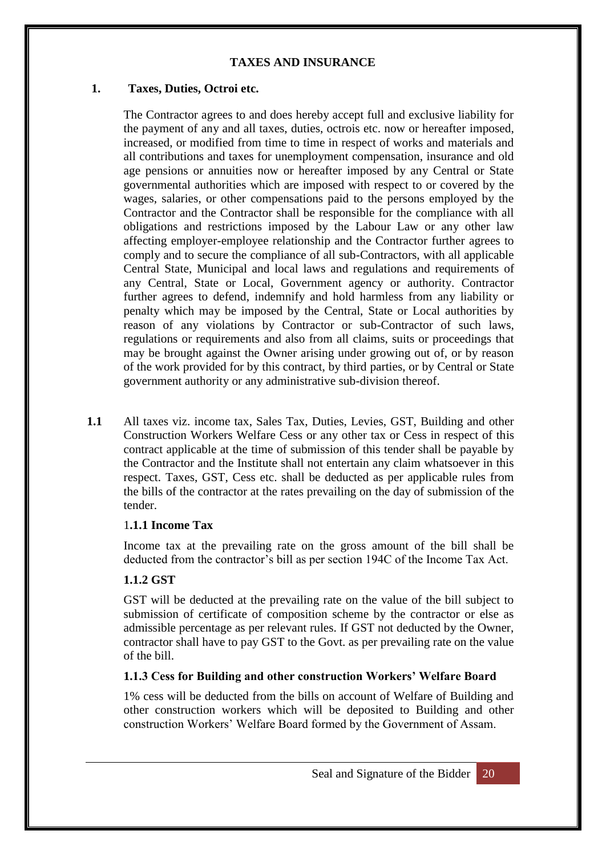#### **TAXES AND INSURANCE**

#### **1. Taxes, Duties, Octroi etc.**

The Contractor agrees to and does hereby accept full and exclusive liability for the payment of any and all taxes, duties, octrois etc. now or hereafter imposed, increased, or modified from time to time in respect of works and materials and all contributions and taxes for unemployment compensation, insurance and old age pensions or annuities now or hereafter imposed by any Central or State governmental authorities which are imposed with respect to or covered by the wages, salaries, or other compensations paid to the persons employed by the Contractor and the Contractor shall be responsible for the compliance with all obligations and restrictions imposed by the Labour Law or any other law affecting employer-employee relationship and the Contractor further agrees to comply and to secure the compliance of all sub-Contractors, with all applicable Central State, Municipal and local laws and regulations and requirements of any Central, State or Local, Government agency or authority. Contractor further agrees to defend, indemnify and hold harmless from any liability or penalty which may be imposed by the Central, State or Local authorities by reason of any violations by Contractor or sub-Contractor of such laws, regulations or requirements and also from all claims, suits or proceedings that may be brought against the Owner arising under growing out of, or by reason of the work provided for by this contract, by third parties, or by Central or State government authority or any administrative sub-division thereof.

**1.1** All taxes viz. income tax, Sales Tax, Duties, Levies, GST, Building and other Construction Workers Welfare Cess or any other tax or Cess in respect of this contract applicable at the time of submission of this tender shall be payable by the Contractor and the Institute shall not entertain any claim whatsoever in this respect. Taxes, GST, Cess etc. shall be deducted as per applicable rules from the bills of the contractor at the rates prevailing on the day of submission of the tender.

#### 1**.1.1 Income Tax**

Income tax at the prevailing rate on the gross amount of the bill shall be deducted from the contractor's bill as per section 194C of the Income Tax Act.

#### **1.1.2 GST**

GST will be deducted at the prevailing rate on the value of the bill subject to submission of certificate of composition scheme by the contractor or else as admissible percentage as per relevant rules. If GST not deducted by the Owner, contractor shall have to pay GST to the Govt. as per prevailing rate on the value of the bill.

#### **1.1.3 Cess for Building and other construction Workers' Welfare Board**

1% cess will be deducted from the bills on account of Welfare of Building and other construction workers which will be deposited to Building and other construction Workers' Welfare Board formed by the Government of Assam.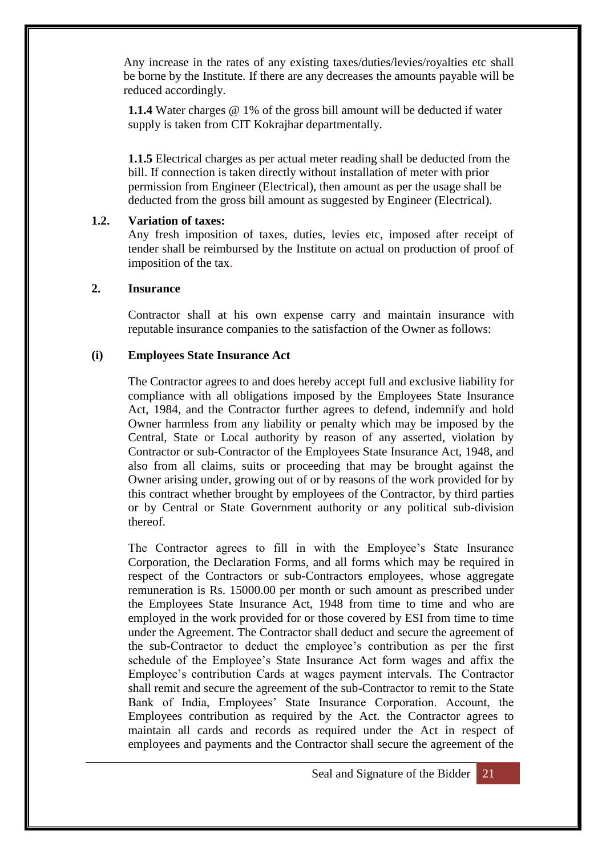Any increase in the rates of any existing taxes/duties/levies/royalties etc shall be borne by the Institute. If there are any decreases the amounts payable will be reduced accordingly.

**1.1.4** Water charges @ 1% of the gross bill amount will be deducted if water supply is taken from CIT Kokrajhar departmentally.

**1.1.5** Electrical charges as per actual meter reading shall be deducted from the bill. If connection is taken directly without installation of meter with prior permission from Engineer (Electrical), then amount as per the usage shall be deducted from the gross bill amount as suggested by Engineer (Electrical).

#### **1.2. Variation of taxes:**

Any fresh imposition of taxes, duties, levies etc, imposed after receipt of tender shall be reimbursed by the Institute on actual on production of proof of imposition of the tax.

#### **2. Insurance**

Contractor shall at his own expense carry and maintain insurance with reputable insurance companies to the satisfaction of the Owner as follows:

#### **(i) Employees State Insurance Act**

The Contractor agrees to and does hereby accept full and exclusive liability for compliance with all obligations imposed by the Employees State Insurance Act, 1984, and the Contractor further agrees to defend, indemnify and hold Owner harmless from any liability or penalty which may be imposed by the Central, State or Local authority by reason of any asserted, violation by Contractor or sub-Contractor of the Employees State Insurance Act, 1948, and also from all claims, suits or proceeding that may be brought against the Owner arising under, growing out of or by reasons of the work provided for by this contract whether brought by employees of the Contractor, by third parties or by Central or State Government authority or any political sub-division thereof.

The Contractor agrees to fill in with the Employee's State Insurance Corporation, the Declaration Forms, and all forms which may be required in respect of the Contractors or sub-Contractors employees, whose aggregate remuneration is Rs. 15000.00 per month or such amount as prescribed under the Employees State Insurance Act, 1948 from time to time and who are employed in the work provided for or those covered by ESI from time to time under the Agreement. The Contractor shall deduct and secure the agreement of the sub-Contractor to deduct the employee's contribution as per the first schedule of the Employee's State Insurance Act form wages and affix the Employee's contribution Cards at wages payment intervals. The Contractor shall remit and secure the agreement of the sub-Contractor to remit to the State Bank of India, Employees' State Insurance Corporation. Account, the Employees contribution as required by the Act. the Contractor agrees to maintain all cards and records as required under the Act in respect of employees and payments and the Contractor shall secure the agreement of the